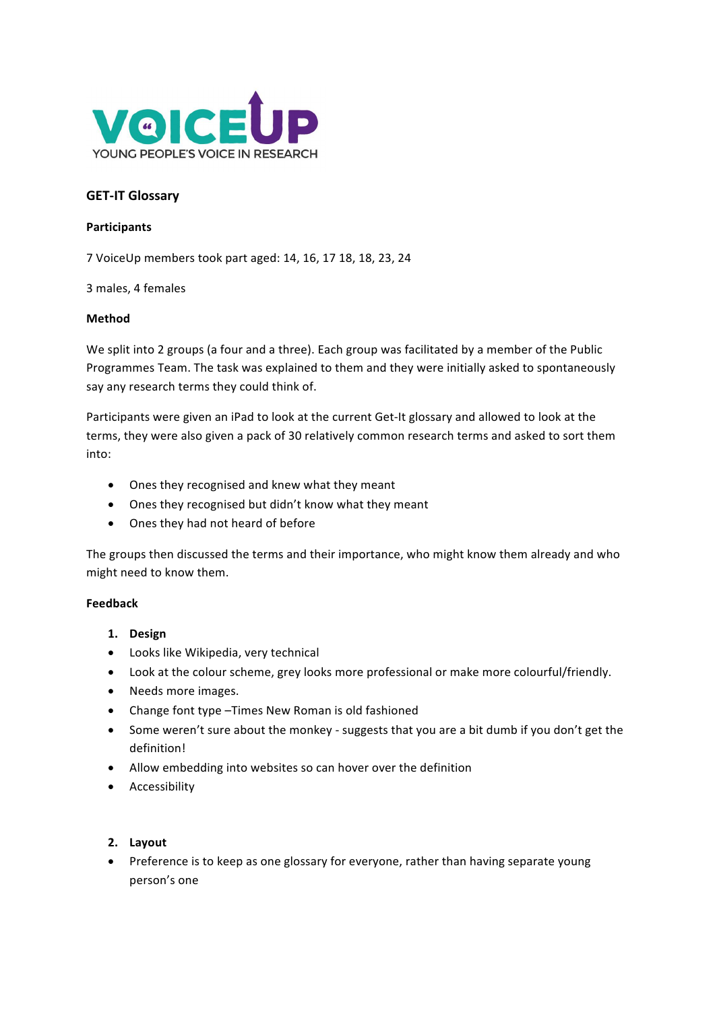

## **GET-IT Glossary**

#### **Participants**

7 VoiceUp members took part aged: 14, 16, 17 18, 18, 23, 24

3 males, 4 females

### **Method**

We split into 2 groups (a four and a three). Each group was facilitated by a member of the Public Programmes Team. The task was explained to them and they were initially asked to spontaneously say any research terms they could think of.

Participants were given an iPad to look at the current Get-It glossary and allowed to look at the terms, they were also given a pack of 30 relatively common research terms and asked to sort them into:

- Ones they recognised and knew what they meant
- Ones they recognised but didn't know what they meant
- Ones they had not heard of before

The groups then discussed the terms and their importance, who might know them already and who might need to know them.

### **Feedback**

- **1. Design**
- Looks like Wikipedia, very technical
- Look at the colour scheme, grey looks more professional or make more colourful/friendly.
- Needs more images.
- Change font type -Times New Roman is old fashioned
- Some weren't sure about the monkey suggests that you are a bit dumb if you don't get the definition!
- Allow embedding into websites so can hover over the definition
- Accessibility

### **2. Layout**

• Preference is to keep as one glossary for everyone, rather than having separate young person's one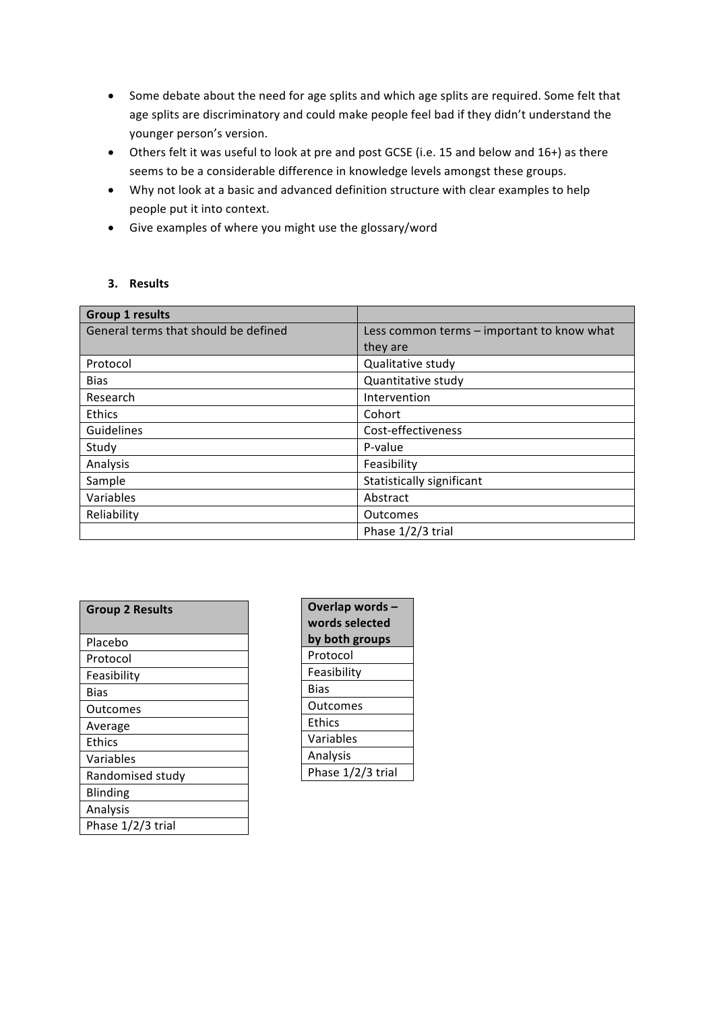- Some debate about the need for age splits and which age splits are required. Some felt that age splits are discriminatory and could make people feel bad if they didn't understand the younger person's version.
- Others felt it was useful to look at pre and post GCSE (i.e. 15 and below and 16+) as there seems to be a considerable difference in knowledge levels amongst these groups.
- Why not look at a basic and advanced definition structure with clear examples to help people put it into context.
- Give examples of where you might use the glossary/word

# **3. Results**

| <b>Group 1 results</b>               |                                            |
|--------------------------------------|--------------------------------------------|
| General terms that should be defined | Less common terms - important to know what |
|                                      | they are                                   |
| Protocol                             | Qualitative study                          |
| <b>Bias</b>                          | Quantitative study                         |
| Research                             | Intervention                               |
| <b>Ethics</b>                        | Cohort                                     |
| Guidelines                           | Cost-effectiveness                         |
| Study                                | P-value                                    |
| Analysis                             | Feasibility                                |
| Sample                               | Statistically significant                  |
| Variables                            | Abstract                                   |
| Reliability                          | Outcomes                                   |
|                                      | Phase 1/2/3 trial                          |

| <b>Group 2 Results</b> |
|------------------------|
| Placebo                |
| Protocol               |
| Feasibility            |
| Bias                   |
| Outcomes               |
| Average                |
| <b>Ethics</b>          |
| Variables              |
| Randomised study       |
| <b>Blinding</b>        |
| Analysis               |
| Phase 1/2/3 trial      |

| <b>Overlap words</b> |  |
|----------------------|--|
| words selected       |  |
| by both groups       |  |
| Protocol             |  |
| Feasibility          |  |
| Bias                 |  |
| Outcomes             |  |
| Fthics               |  |
| Variables            |  |
| Analysis             |  |
| Phase 1/2/3 trial    |  |